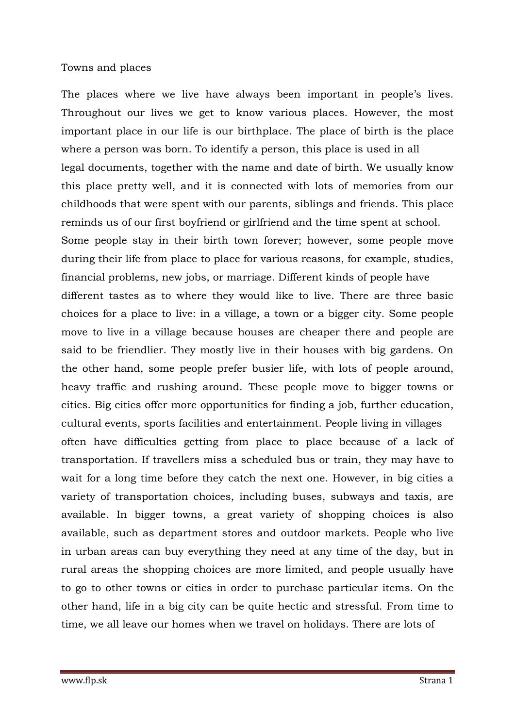## Towns and places

The places where we live have always been important in people's lives. Throughout our lives we get to know various places. However, the most important place in our life is our birthplace. The place of birth is the place where a person was born. To identify a person, this place is used in all legal documents, together with the name and date of birth. We usually know this place pretty well, and it is connected with lots of memories from our childhoods that were spent with our parents, siblings and friends. This place reminds us of our first boyfriend or girlfriend and the time spent at school. Some people stay in their birth town forever; however, some people move during their life from place to place for various reasons, for example, studies, financial problems, new jobs, or marriage. Different kinds of people have different tastes as to where they would like to live. There are three basic choices for a place to live: in a village, a town or a bigger city. Some people move to live in a village because houses are cheaper there and people are said to be friendlier. They mostly live in their houses with big gardens. On the other hand, some people prefer busier life, with lots of people around, heavy traffic and rushing around. These people move to bigger towns or cities. Big cities offer more opportunities for finding a job, further education, cultural events, sports facilities and entertainment. People living in villages often have difficulties getting from place to place because of a lack of transportation. If travellers miss a scheduled bus or train, they may have to wait for a long time before they catch the next one. However, in big cities a variety of transportation choices, including buses, subways and taxis, are available. In bigger towns, a great variety of shopping choices is also available, such as department stores and outdoor markets. People who live in urban areas can buy everything they need at any time of the day, but in rural areas the shopping choices are more limited, and people usually have to go to other towns or cities in order to purchase particular items. On the other hand, life in a big city can be quite hectic and stressful. From time to time, we all leave our homes when we travel on holidays. There are lots of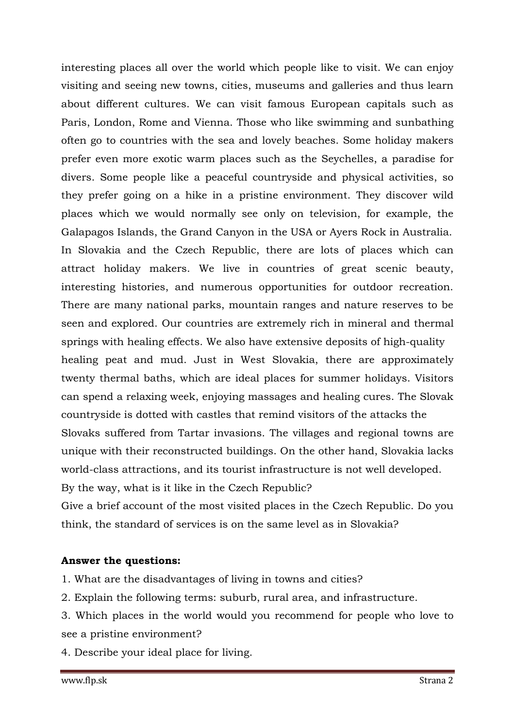interesting places all over the world which people like to visit. We can enjoy visiting and seeing new towns, cities, museums and galleries and thus learn about different cultures. We can visit famous European capitals such as Paris, London, Rome and Vienna. Those who like swimming and sunbathing often go to countries with the sea and lovely beaches. Some holiday makers prefer even more exotic warm places such as the Seychelles, a paradise for divers. Some people like a peaceful countryside and physical activities, so they prefer going on a hike in a pristine environment. They discover wild places which we would normally see only on television, for example, the Galapagos Islands, the Grand Canyon in the USA or Ayers Rock in Australia. In Slovakia and the Czech Republic, there are lots of places which can attract holiday makers. We live in countries of great scenic beauty, interesting histories, and numerous opportunities for outdoor recreation. There are many national parks, mountain ranges and nature reserves to be seen and explored. Our countries are extremely rich in mineral and thermal springs with healing effects. We also have extensive deposits of high-quality healing peat and mud. Just in West Slovakia, there are approximately twenty thermal baths, which are ideal places for summer holidays. Visitors can spend a relaxing week, enjoying massages and healing cures. The Slovak countryside is dotted with castles that remind visitors of the attacks the Slovaks suffered from Tartar invasions. The villages and regional towns are unique with their reconstructed buildings. On the other hand, Slovakia lacks world-class attractions, and its tourist infrastructure is not well developed. By the way, what is it like in the Czech Republic?

Give a brief account of the most visited places in the Czech Republic. Do you think, the standard of services is on the same level as in Slovakia?

## **Answer the questions:**

- 1. What are the disadvantages of living in towns and cities?
- 2. Explain the following terms: suburb, rural area, and infrastructure.
- 3. Which places in the world would you recommend for people who love to see a pristine environment?
- 4. Describe your ideal place for living.